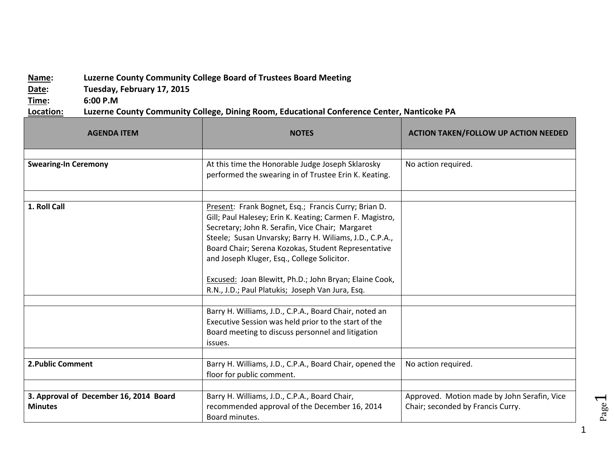## **Name: Luzerne County Community College Board of Trustees Board Meeting**

**Date: Tuesday, February 17, 2015**

**Time: 6:00 P.M**

**Location: Luzerne County Community College, Dining Room, Educational Conference Center, Nanticoke PA**

| <b>AGENDA ITEM</b>                                       | <b>NOTES</b>                                                                                                                                                                                                                                                                                                                                                                                                                                        | <b>ACTION TAKEN/FOLLOW UP ACTION NEEDED</b>                                      |
|----------------------------------------------------------|-----------------------------------------------------------------------------------------------------------------------------------------------------------------------------------------------------------------------------------------------------------------------------------------------------------------------------------------------------------------------------------------------------------------------------------------------------|----------------------------------------------------------------------------------|
| <b>Swearing-In Ceremony</b>                              | At this time the Honorable Judge Joseph Sklarosky<br>performed the swearing in of Trustee Erin K. Keating.                                                                                                                                                                                                                                                                                                                                          | No action required.                                                              |
| 1. Roll Call                                             | Present: Frank Bognet, Esq.; Francis Curry; Brian D.<br>Gill; Paul Halesey; Erin K. Keating; Carmen F. Magistro,<br>Secretary; John R. Serafin, Vice Chair; Margaret<br>Steele; Susan Unvarsky; Barry H. Wiliams, J.D., C.P.A.,<br>Board Chair; Serena Kozokas, Student Representative<br>and Joseph Kluger, Esq., College Solicitor.<br>Excused: Joan Blewitt, Ph.D.; John Bryan; Elaine Cook,<br>R.N., J.D.; Paul Platukis; Joseph Van Jura, Esq. |                                                                                  |
|                                                          | Barry H. Williams, J.D., C.P.A., Board Chair, noted an<br>Executive Session was held prior to the start of the<br>Board meeting to discuss personnel and litigation<br>issues.                                                                                                                                                                                                                                                                      |                                                                                  |
| <b>2. Public Comment</b>                                 | Barry H. Williams, J.D., C.P.A., Board Chair, opened the<br>floor for public comment.                                                                                                                                                                                                                                                                                                                                                               | No action required.                                                              |
| 3. Approval of December 16, 2014 Board<br><b>Minutes</b> | Barry H. Williams, J.D., C.P.A., Board Chair,<br>recommended approval of the December 16, 2014<br>Board minutes.                                                                                                                                                                                                                                                                                                                                    | Approved. Motion made by John Serafin, Vice<br>Chair; seconded by Francis Curry. |

Page  $\overline{\phantom{0}}$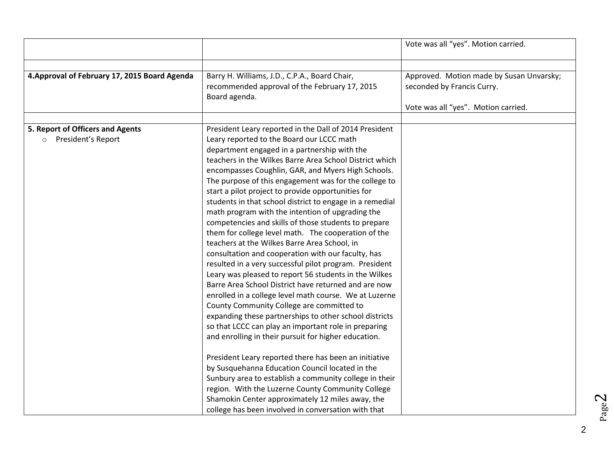| Barry H. Williams, J.D., C.P.A., Board Chair,<br>4. Approval of February 17, 2015 Board Agenda<br>Approved. Motion made by Susan Unvarsky;<br>recommended approval of the February 17, 2015<br>seconded by Francis Curry.<br>Board agenda.<br>Vote was all "yes". Motion carried.<br>5. Report of Officers and Agents<br>President Leary reported in the Dall of 2014 President<br>President's Report<br>Leary reported to the Board our LCCC math<br>$\circ$<br>department engaged in a partnership with the<br>teachers in the Wilkes Barre Area School District which<br>encompasses Coughlin, GAR, and Myers High Schools.<br>The purpose of this engagement was for the college to<br>start a pilot project to provide opportunities for<br>students in that school district to engage in a remedial<br>math program with the intention of upgrading the<br>competencies and skills of those students to prepare<br>them for college level math. The cooperation of the<br>teachers at the Wilkes Barre Area School, in<br>consultation and cooperation with our faculty, has<br>resulted in a very successful pilot program. President<br>Leary was pleased to report 56 students in the Wilkes<br>Barre Area School District have returned and are now<br>enrolled in a college level math course. We at Luzerne<br>County Community College are committed to<br>expanding these partnerships to other school districts<br>so that LCCC can play an important role in preparing<br>and enrolling in their pursuit for higher education.<br>President Leary reported there has been an initiative<br>by Susquehanna Education Council located in the<br>Sunbury area to establish a community college in their<br>region. With the Luzerne County Community College |  | Vote was all "yes". Motion carried. |
|---------------------------------------------------------------------------------------------------------------------------------------------------------------------------------------------------------------------------------------------------------------------------------------------------------------------------------------------------------------------------------------------------------------------------------------------------------------------------------------------------------------------------------------------------------------------------------------------------------------------------------------------------------------------------------------------------------------------------------------------------------------------------------------------------------------------------------------------------------------------------------------------------------------------------------------------------------------------------------------------------------------------------------------------------------------------------------------------------------------------------------------------------------------------------------------------------------------------------------------------------------------------------------------------------------------------------------------------------------------------------------------------------------------------------------------------------------------------------------------------------------------------------------------------------------------------------------------------------------------------------------------------------------------------------------------------------------------------------------------------------------------------------|--|-------------------------------------|
|                                                                                                                                                                                                                                                                                                                                                                                                                                                                                                                                                                                                                                                                                                                                                                                                                                                                                                                                                                                                                                                                                                                                                                                                                                                                                                                                                                                                                                                                                                                                                                                                                                                                                                                                                                           |  |                                     |
|                                                                                                                                                                                                                                                                                                                                                                                                                                                                                                                                                                                                                                                                                                                                                                                                                                                                                                                                                                                                                                                                                                                                                                                                                                                                                                                                                                                                                                                                                                                                                                                                                                                                                                                                                                           |  |                                     |
|                                                                                                                                                                                                                                                                                                                                                                                                                                                                                                                                                                                                                                                                                                                                                                                                                                                                                                                                                                                                                                                                                                                                                                                                                                                                                                                                                                                                                                                                                                                                                                                                                                                                                                                                                                           |  |                                     |
| Shamokin Center approximately 12 miles away, the                                                                                                                                                                                                                                                                                                                                                                                                                                                                                                                                                                                                                                                                                                                                                                                                                                                                                                                                                                                                                                                                                                                                                                                                                                                                                                                                                                                                                                                                                                                                                                                                                                                                                                                          |  |                                     |

Page  $\boldsymbol{\sim}$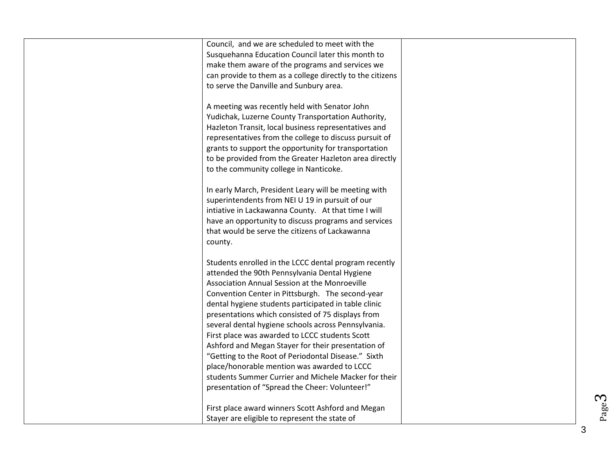| Council, and we are scheduled to meet with the<br>Susquehanna Education Council later this month to<br>make them aware of the programs and services we<br>can provide to them as a college directly to the citizens<br>to serve the Danville and Sunbury area.<br>A meeting was recently held with Senator John<br>Yudichak, Luzerne County Transportation Authority,<br>Hazleton Transit, local business representatives and                                                                                                                                                                 |  |
|-----------------------------------------------------------------------------------------------------------------------------------------------------------------------------------------------------------------------------------------------------------------------------------------------------------------------------------------------------------------------------------------------------------------------------------------------------------------------------------------------------------------------------------------------------------------------------------------------|--|
| representatives from the college to discuss pursuit of<br>grants to support the opportunity for transportation<br>to be provided from the Greater Hazleton area directly<br>to the community college in Nanticoke.                                                                                                                                                                                                                                                                                                                                                                            |  |
| In early March, President Leary will be meeting with<br>superintendents from NEI U 19 in pursuit of our<br>intiative in Lackawanna County. At that time I will<br>have an opportunity to discuss programs and services<br>that would be serve the citizens of Lackawanna<br>county.                                                                                                                                                                                                                                                                                                           |  |
| Students enrolled in the LCCC dental program recently<br>attended the 90th Pennsylvania Dental Hygiene<br>Association Annual Session at the Monroeville<br>Convention Center in Pittsburgh. The second-year<br>dental hygiene students participated in table clinic<br>presentations which consisted of 75 displays from<br>several dental hygiene schools across Pennsylvania.<br>First place was awarded to LCCC students Scott<br>Ashford and Megan Stayer for their presentation of<br>"Getting to the Root of Periodontal Disease." Sixth<br>place/honorable mention was awarded to LCCC |  |
| students Summer Currier and Michele Macker for their<br>presentation of "Spread the Cheer: Volunteer!"<br>First place award winners Scott Ashford and Megan<br>Stayer are eligible to represent the state of                                                                                                                                                                                                                                                                                                                                                                                  |  |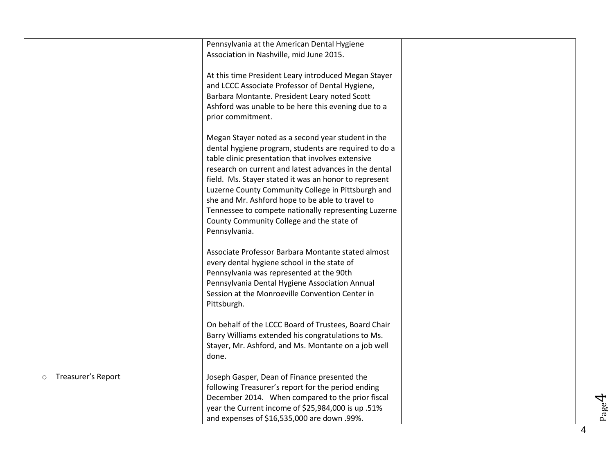|                               | Pennsylvania at the American Dental Hygiene                                                                 |  |
|-------------------------------|-------------------------------------------------------------------------------------------------------------|--|
|                               | Association in Nashville, mid June 2015.                                                                    |  |
|                               | At this time President Leary introduced Megan Stayer                                                        |  |
|                               | and LCCC Associate Professor of Dental Hygiene,                                                             |  |
|                               | Barbara Montante. President Leary noted Scott                                                               |  |
|                               | Ashford was unable to be here this evening due to a                                                         |  |
|                               | prior commitment.                                                                                           |  |
|                               | Megan Stayer noted as a second year student in the                                                          |  |
|                               | dental hygiene program, students are required to do a                                                       |  |
|                               | table clinic presentation that involves extensive                                                           |  |
|                               | research on current and latest advances in the dental                                                       |  |
|                               | field. Ms. Stayer stated it was an honor to represent<br>Luzerne County Community College in Pittsburgh and |  |
|                               | she and Mr. Ashford hope to be able to travel to                                                            |  |
|                               | Tennessee to compete nationally representing Luzerne                                                        |  |
|                               | County Community College and the state of                                                                   |  |
|                               | Pennsylvania.                                                                                               |  |
|                               | Associate Professor Barbara Montante stated almost                                                          |  |
|                               | every dental hygiene school in the state of                                                                 |  |
|                               | Pennsylvania was represented at the 90th                                                                    |  |
|                               | Pennsylvania Dental Hygiene Association Annual                                                              |  |
|                               | Session at the Monroeville Convention Center in                                                             |  |
|                               | Pittsburgh.                                                                                                 |  |
|                               | On behalf of the LCCC Board of Trustees, Board Chair                                                        |  |
|                               | Barry Williams extended his congratulations to Ms.                                                          |  |
|                               | Stayer, Mr. Ashford, and Ms. Montante on a job well                                                         |  |
|                               | done.                                                                                                       |  |
| Treasurer's Report<br>$\circ$ | Joseph Gasper, Dean of Finance presented the                                                                |  |
|                               | following Treasurer's report for the period ending                                                          |  |
|                               | December 2014. When compared to the prior fiscal                                                            |  |
|                               | year the Current income of \$25,984,000 is up .51%                                                          |  |
|                               | and expenses of \$16,535,000 are down .99%.                                                                 |  |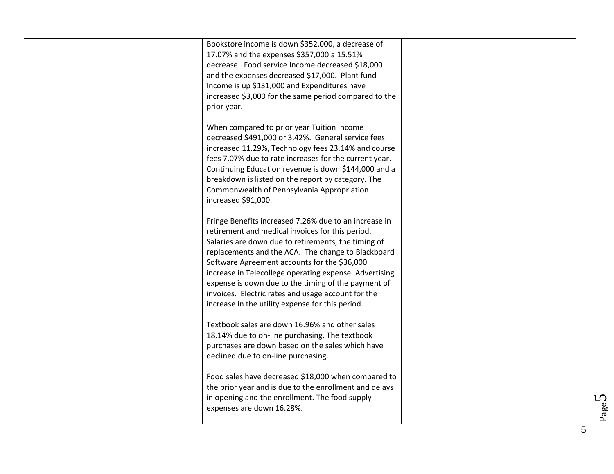| Bookstore income is down \$352,000, a decrease of<br>17.07% and the expenses \$357,000 a 15.51%<br>decrease. Food service Income decreased \$18,000<br>and the expenses decreased \$17,000. Plant fund<br>Income is up \$131,000 and Expenditures have<br>increased \$3,000 for the same period compared to the<br>prior year.                                                                                                                                                                    |  |
|---------------------------------------------------------------------------------------------------------------------------------------------------------------------------------------------------------------------------------------------------------------------------------------------------------------------------------------------------------------------------------------------------------------------------------------------------------------------------------------------------|--|
| When compared to prior year Tuition Income<br>decreased \$491,000 or 3.42%. General service fees<br>increased 11.29%, Technology fees 23.14% and course<br>fees 7.07% due to rate increases for the current year.<br>Continuing Education revenue is down \$144,000 and a<br>breakdown is listed on the report by category. The<br>Commonwealth of Pennsylvania Appropriation<br>increased \$91,000.                                                                                              |  |
| Fringe Benefits increased 7.26% due to an increase in<br>retirement and medical invoices for this period.<br>Salaries are down due to retirements, the timing of<br>replacements and the ACA. The change to Blackboard<br>Software Agreement accounts for the \$36,000<br>increase in Telecollege operating expense. Advertising<br>expense is down due to the timing of the payment of<br>invoices. Electric rates and usage account for the<br>increase in the utility expense for this period. |  |
| Textbook sales are down 16.96% and other sales<br>18.14% due to on-line purchasing. The textbook<br>purchases are down based on the sales which have<br>declined due to on-line purchasing.                                                                                                                                                                                                                                                                                                       |  |
| Food sales have decreased \$18,000 when compared to<br>the prior year and is due to the enrollment and delays<br>in opening and the enrollment. The food supply<br>expenses are down 16.28%.                                                                                                                                                                                                                                                                                                      |  |

Page  $5$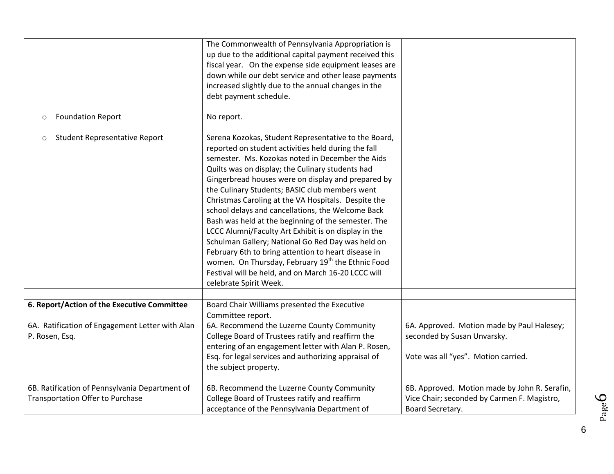|                                                                                           | The Commonwealth of Pennsylvania Appropriation is<br>up due to the additional capital payment received this<br>fiscal year. On the expense side equipment leases are<br>down while our debt service and other lease payments<br>increased slightly due to the annual changes in the<br>debt payment schedule.                                                                                                                                                                                                                                                                                                                                                                                                                                                                                                        |                                                                                                                  |
|-------------------------------------------------------------------------------------------|----------------------------------------------------------------------------------------------------------------------------------------------------------------------------------------------------------------------------------------------------------------------------------------------------------------------------------------------------------------------------------------------------------------------------------------------------------------------------------------------------------------------------------------------------------------------------------------------------------------------------------------------------------------------------------------------------------------------------------------------------------------------------------------------------------------------|------------------------------------------------------------------------------------------------------------------|
| <b>Foundation Report</b><br>$\circ$                                                       | No report.                                                                                                                                                                                                                                                                                                                                                                                                                                                                                                                                                                                                                                                                                                                                                                                                           |                                                                                                                  |
| <b>Student Representative Report</b><br>$\circ$                                           | Serena Kozokas, Student Representative to the Board,<br>reported on student activities held during the fall<br>semester. Ms. Kozokas noted in December the Aids<br>Quilts was on display; the Culinary students had<br>Gingerbread houses were on display and prepared by<br>the Culinary Students; BASIC club members went<br>Christmas Caroling at the VA Hospitals. Despite the<br>school delays and cancellations, the Welcome Back<br>Bash was held at the beginning of the semester. The<br>LCCC Alumni/Faculty Art Exhibit is on display in the<br>Schulman Gallery; National Go Red Day was held on<br>February 6th to bring attention to heart disease in<br>women. On Thursday, February 19 <sup>th</sup> the Ethnic Food<br>Festival will be held, and on March 16-20 LCCC will<br>celebrate Spirit Week. |                                                                                                                  |
| 6. Report/Action of the Executive Committee                                               | Board Chair Williams presented the Executive                                                                                                                                                                                                                                                                                                                                                                                                                                                                                                                                                                                                                                                                                                                                                                         |                                                                                                                  |
| 6A. Ratification of Engagement Letter with Alan<br>P. Rosen, Esq.                         | Committee report.<br>6A. Recommend the Luzerne County Community<br>College Board of Trustees ratify and reaffirm the<br>entering of an engagement letter with Alan P. Rosen,<br>Esq. for legal services and authorizing appraisal of<br>the subject property.                                                                                                                                                                                                                                                                                                                                                                                                                                                                                                                                                        | 6A. Approved. Motion made by Paul Halesey;<br>seconded by Susan Unvarsky.<br>Vote was all "yes". Motion carried. |
| 6B. Ratification of Pennsylvania Department of<br><b>Transportation Offer to Purchase</b> | 6B. Recommend the Luzerne County Community<br>College Board of Trustees ratify and reaffirm<br>acceptance of the Pennsylvania Department of                                                                                                                                                                                                                                                                                                                                                                                                                                                                                                                                                                                                                                                                          | 6B. Approved. Motion made by John R. Serafin,<br>Vice Chair; seconded by Carmen F. Magistro,<br>Board Secretary. |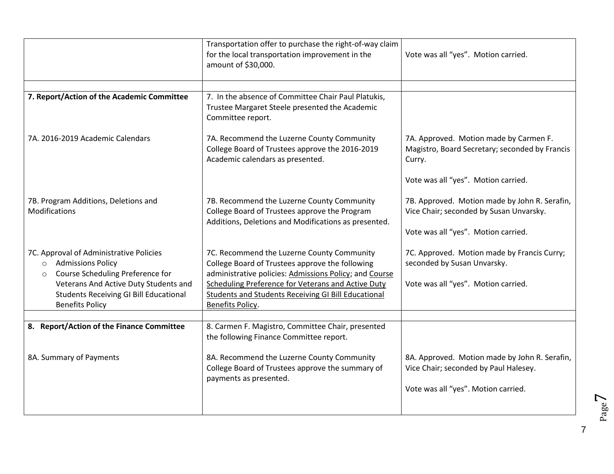| Transportation offer to purchase the right-of-way claim<br>for the local transportation improvement in the<br>amount of \$30,000.                   | Vote was all "yes". Motion carried.                                                                                           |
|-----------------------------------------------------------------------------------------------------------------------------------------------------|-------------------------------------------------------------------------------------------------------------------------------|
|                                                                                                                                                     |                                                                                                                               |
| Trustee Margaret Steele presented the Academic<br>Committee report.                                                                                 |                                                                                                                               |
| 7A. Recommend the Luzerne County Community<br>College Board of Trustees approve the 2016-2019<br>Academic calendars as presented.                   | 7A. Approved. Motion made by Carmen F.<br>Magistro, Board Secretary; seconded by Francis<br>Curry.                            |
|                                                                                                                                                     | Vote was all "yes". Motion carried.                                                                                           |
| 7B. Recommend the Luzerne County Community<br>College Board of Trustees approve the Program<br>Additions, Deletions and Modifications as presented. | 7B. Approved. Motion made by John R. Serafin,<br>Vice Chair; seconded by Susan Unvarsky.                                      |
|                                                                                                                                                     | Vote was all "yes". Motion carried.                                                                                           |
| 7C. Recommend the Luzerne County Community<br>College Board of Trustees approve the following                                                       | 7C. Approved. Motion made by Francis Curry;<br>seconded by Susan Unvarsky.                                                    |
| <b>Scheduling Preference for Veterans and Active Duty</b><br><b>Students and Students Receiving GI Bill Educational</b>                             | Vote was all "yes". Motion carried.                                                                                           |
| Benefits Policy.                                                                                                                                    |                                                                                                                               |
| 8. Carmen F. Magistro, Committee Chair, presented<br>the following Finance Committee report.                                                        |                                                                                                                               |
| 8A. Recommend the Luzerne County Community<br>College Board of Trustees approve the summary of<br>payments as presented.                            | 8A. Approved. Motion made by John R. Serafin,<br>Vice Chair; seconded by Paul Halesey.<br>Vote was all "yes". Motion carried. |
|                                                                                                                                                     | 7. In the absence of Committee Chair Paul Platukis,<br>administrative policies: Admissions Policy; and Course                 |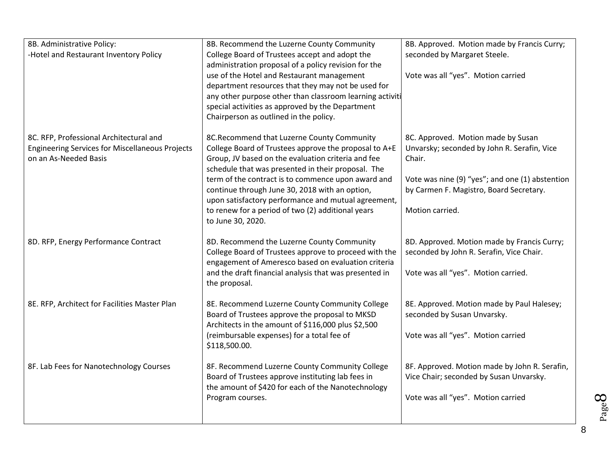| 8B. Administrative Policy:                             | 8B. Recommend the Luzerne County Community                              | 8B. Approved. Motion made by Francis Curry;     |
|--------------------------------------------------------|-------------------------------------------------------------------------|-------------------------------------------------|
| -Hotel and Restaurant Inventory Policy                 | College Board of Trustees accept and adopt the                          | seconded by Margaret Steele.                    |
|                                                        | administration proposal of a policy revision for the                    |                                                 |
|                                                        | use of the Hotel and Restaurant management                              | Vote was all "yes". Motion carried              |
|                                                        | department resources that they may not be used for                      |                                                 |
|                                                        | any other purpose other than classroom learning activiti                |                                                 |
|                                                        | special activities as approved by the Department                        |                                                 |
|                                                        | Chairperson as outlined in the policy.                                  |                                                 |
|                                                        |                                                                         |                                                 |
| 8C. RFP, Professional Architectural and                | 8C.Recommend that Luzerne County Community                              | 8C. Approved. Motion made by Susan              |
| <b>Engineering Services for Miscellaneous Projects</b> | College Board of Trustees approve the proposal to A+E                   | Unvarsky; seconded by John R. Serafin, Vice     |
| on an As-Needed Basis                                  | Group, JV based on the evaluation criteria and fee                      | Chair.                                          |
|                                                        | schedule that was presented in their proposal. The                      |                                                 |
|                                                        | term of the contract is to commence upon award and                      | Vote was nine (9) "yes"; and one (1) abstention |
|                                                        | continue through June 30, 2018 with an option,                          | by Carmen F. Magistro, Board Secretary.         |
|                                                        | upon satisfactory performance and mutual agreement,                     |                                                 |
|                                                        | to renew for a period of two (2) additional years                       | Motion carried.                                 |
|                                                        | to June 30, 2020.                                                       |                                                 |
|                                                        |                                                                         |                                                 |
| 8D. RFP, Energy Performance Contract                   | 8D. Recommend the Luzerne County Community                              | 8D. Approved. Motion made by Francis Curry;     |
|                                                        | College Board of Trustees approve to proceed with the                   | seconded by John R. Serafin, Vice Chair.        |
|                                                        | engagement of Ameresco based on evaluation criteria                     |                                                 |
|                                                        | and the draft financial analysis that was presented in<br>the proposal. | Vote was all "yes". Motion carried.             |
|                                                        |                                                                         |                                                 |
| 8E. RFP, Architect for Facilities Master Plan          | 8E. Recommend Luzerne County Community College                          | 8E. Approved. Motion made by Paul Halesey;      |
|                                                        | Board of Trustees approve the proposal to MKSD                          | seconded by Susan Unvarsky.                     |
|                                                        | Architects in the amount of \$116,000 plus \$2,500                      |                                                 |
|                                                        | (reimbursable expenses) for a total fee of                              | Vote was all "yes". Motion carried              |
|                                                        | \$118,500.00.                                                           |                                                 |
|                                                        |                                                                         |                                                 |
| 8F. Lab Fees for Nanotechnology Courses                | 8F. Recommend Luzerne County Community College                          | 8F. Approved. Motion made by John R. Serafin,   |
|                                                        | Board of Trustees approve instituting lab fees in                       | Vice Chair; seconded by Susan Unvarsky.         |
|                                                        | the amount of \$420 for each of the Nanotechnology                      |                                                 |
|                                                        | Program courses.                                                        | Vote was all "yes". Motion carried              |
|                                                        |                                                                         |                                                 |
|                                                        |                                                                         |                                                 |

 $\infty$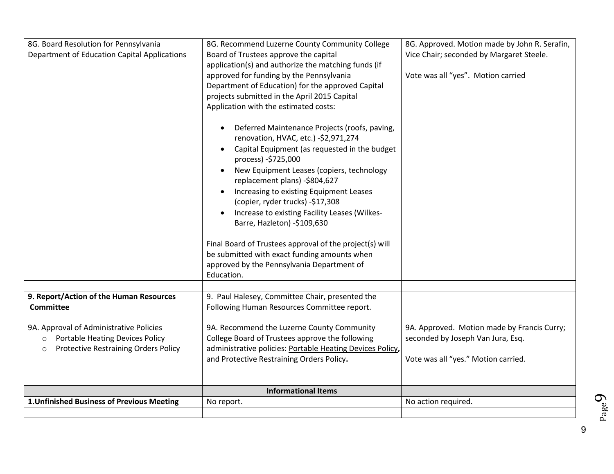| 8G. Board Resolution for Pennsylvania                  | 8G. Recommend Luzerne County Community College             | 8G. Approved. Motion made by John R. Serafin, |
|--------------------------------------------------------|------------------------------------------------------------|-----------------------------------------------|
| Department of Education Capital Applications           | Board of Trustees approve the capital                      | Vice Chair; seconded by Margaret Steele.      |
|                                                        | application(s) and authorize the matching funds (if        |                                               |
|                                                        | approved for funding by the Pennsylvania                   | Vote was all "yes". Motion carried            |
|                                                        | Department of Education) for the approved Capital          |                                               |
|                                                        | projects submitted in the April 2015 Capital               |                                               |
|                                                        | Application with the estimated costs:                      |                                               |
|                                                        |                                                            |                                               |
|                                                        | Deferred Maintenance Projects (roofs, paving,              |                                               |
|                                                        | renovation, HVAC, etc.) -\$2,971,274                       |                                               |
|                                                        | Capital Equipment (as requested in the budget              |                                               |
|                                                        | process) -\$725,000                                        |                                               |
|                                                        | New Equipment Leases (copiers, technology                  |                                               |
|                                                        | replacement plans) -\$804,627                              |                                               |
|                                                        | Increasing to existing Equipment Leases                    |                                               |
|                                                        | (copier, ryder trucks) -\$17,308                           |                                               |
|                                                        | Increase to existing Facility Leases (Wilkes-<br>$\bullet$ |                                               |
|                                                        | Barre, Hazleton) -\$109,630                                |                                               |
|                                                        |                                                            |                                               |
|                                                        | Final Board of Trustees approval of the project(s) will    |                                               |
|                                                        | be submitted with exact funding amounts when               |                                               |
|                                                        | approved by the Pennsylvania Department of                 |                                               |
|                                                        | Education.                                                 |                                               |
|                                                        |                                                            |                                               |
| 9. Report/Action of the Human Resources                | 9. Paul Halesey, Committee Chair, presented the            |                                               |
| <b>Committee</b>                                       | Following Human Resources Committee report.                |                                               |
|                                                        |                                                            |                                               |
| 9A. Approval of Administrative Policies                | 9A. Recommend the Luzerne County Community                 | 9A. Approved. Motion made by Francis Curry;   |
| <b>Portable Heating Devices Policy</b><br>$\circ$      | College Board of Trustees approve the following            | seconded by Joseph Van Jura, Esq.             |
| <b>Protective Restraining Orders Policy</b><br>$\circ$ | administrative policies: Portable Heating Devices Policy,  |                                               |
|                                                        | and Protective Restraining Orders Policy.                  | Vote was all "yes." Motion carried.           |
|                                                        |                                                            |                                               |
|                                                        |                                                            |                                               |
|                                                        | <b>Informational Items</b>                                 |                                               |
| 1. Unfinished Business of Previous Meeting             | No report.                                                 | No action required.                           |
|                                                        |                                                            |                                               |

Page  $\sigma$